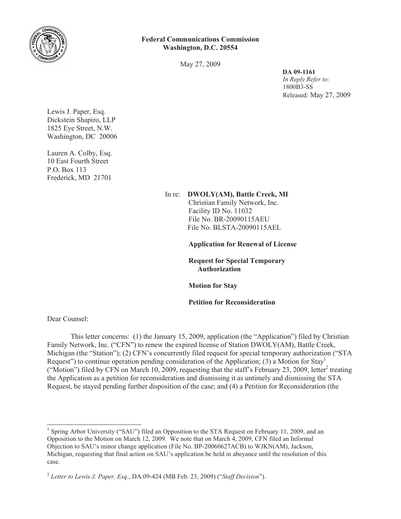

## **Federal Communications Commission Washington, D.C. 20554**

May 27, 2009

**DA 09-1161** *In Reply Refer to:* 1800B3-SS Released: May 27, 2009

Lewis J. Paper, Esq. Dickstein Shapiro, LLP 1825 Eye Street, N.W. Washington, DC 20006

Lauren A. Colby, Esq. 10 East Fourth Street P.O. Box 113 Frederick, MD 21701

> In re: **DWOLY(AM), Battle Creek, MI** Christian Family Network, Inc. Facility ID No. 11032

File No. BR-20090115AEU File No. BLSTA-20090115AEL

**Application for Renewal of License**

**Request for Special Temporary Authorization**

**Motion for Stay**

**Petition for Reconsideration**

Dear Counsel:

This letter concerns: (1) the January 15, 2009, application (the "Application") filed by Christian Family Network, Inc. ("CFN") to renew the expired license of Station DWOLY(AM), Battle Creek, Michigan (the "Station"); (2) CFN's concurrently filed request for special temporary authorization ("STA Request") to continue operation pending consideration of the Application; (3) a Motion for  $Stav<sup>1</sup>$ ("Motion") filed by CFN on March 10, 2009, requesting that the staff's February 23, 2009, letter<sup>2</sup> treating the Application as a petition for reconsideration and dismissing it as untimely and dismissing the STA Request, be stayed pending further disposition of the case; and (4) a Petition for Reconsideration (the

<sup>&</sup>lt;sup>1</sup> Spring Arbor University ("SAU") filed an Opposition to the STA Request on February 11, 2009, and an Opposition to the Motion on March 12, 2009. We note that on March 4, 2009, CFN filed an Informal Objection to SAU's minor change application (File No. BP-20060627ACB) to WJKN(AM), Jackson, Michigan, requesting that final action on SAU's application be held in abeyance until the resolution of this case.

<sup>2</sup> *Letter to Lewis J. Paper, Esq*., DA 09-424 (MB Feb. 23, 2009) ("*Staff Decision*").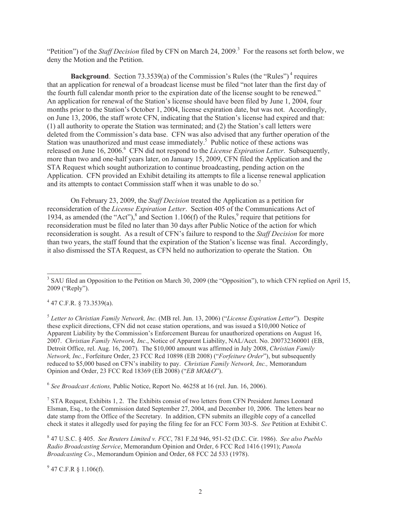"Petition") of the *Staff Decision* filed by CFN on March 24, 2009*.* 3 For the reasons set forth below, we deny the Motion and the Petition.

**Background**. Section 73.3539(a) of the Commission's Rules (the "Rules")<sup>4</sup> requires that an application for renewal of a broadcast license must be filed "not later than the first day of the fourth full calendar month prior to the expiration date of the license sought to be renewed." An application for renewal of the Station's license should have been filed by June 1, 2004, four months prior to the Station's October 1, 2004, license expiration date, but was not. Accordingly, on June 13, 2006, the staff wrote CFN, indicating that the Station's license had expired and that: (1) all authority to operate the Station was terminated; and (2) the Station's call letters were deleted from the Commission's data base. CFN was also advised that any further operation of the Station was unauthorized and must cease immediately.<sup>5</sup> Public notice of these actions was released on June 16, 2006.<sup>6</sup> CFN did not respond to the *License Expiration Letter*. Subsequently, more than two and one-half years later, on January 15, 2009, CFN filed the Application and the STA Request which sought authorization to continue broadcasting, pending action on the Application. CFN provided an Exhibit detailing its attempts to file a license renewal application and its attempts to contact Commission staff when it was unable to do so.<sup>7</sup>

On February 23, 2009, the *Staff Decision* treated the Application as a petition for reconsideration of the *License Expiration Letter*. Section 405 of the Communications Act of 1934, as amended (the "Act"),  $\delta$  and Section 1.106(f) of the Rules,  $\delta$  require that petitions for reconsideration must be filed no later than 30 days after Public Notice of the action for which reconsideration is sought. As a result of CFN's failure to respond to the *Staff Decision* for more than two years, the staff found that the expiration of the Station's license was final. Accordingly, it also dismissed the STA Request, as CFN held no authorization to operate the Station. On

 $4$  47 C.F.R. § 73.3539(a).

5 *Letter to Christian Family Network, Inc.* (MB rel. Jun. 13, 2006) ("*License Expiration Letter*"). Despite these explicit directions, CFN did not cease station operations, and was issued a \$10,000 Notice of Apparent Liability by the Commission's Enforcement Bureau for unauthorized operations on August 16, 2007. *Christian Family Network, Inc*., Notice of Apparent Liability, NAL/Acct. No. 200732360001 (EB, Detroit Office, rel. Aug. 16, 2007). The \$10,000 amount was affirmed in July 2008, *Christian Family Network, Inc.*, Forfeiture Order, 23 FCC Rcd 10898 (EB 2008) ("*Forfeiture Order*"), but subsequently reduced to \$5,000 based on CFN's inability to pay. *Christian Family Network, Inc.,* Memorandum Opinion and Order, 23 FCC Rcd 18369 (EB 2008) ("*EB MO&O*").

6 *See Broadcast Actions,* Public Notice, Report No. 46258 at 16 (rel. Jun. 16, 2006).

<sup>7</sup> STA Request, Exhibits 1, 2. The Exhibits consist of two letters from CFN President James Leonard Elsman, Esq., to the Commission dated September 27, 2004, and December 10, 2006. The letters bear no date stamp from the Office of the Secretary. In addition, CFN submits an illegible copy of a cancelled check it states it allegedly used for paying the filing fee for an FCC Form 303-S. *See* Petition at Exhibit C.

8 47 U.S.C. § 405. *See Reuters Limited v. FCC*, 781 F.2d 946, 951-52 (D.C. Cir. 1986). *See also Pueblo Radio Broadcasting Service*, Memorandum Opinion and Order, 6 FCC Rcd 1416 (1991); *Panola Broadcasting Co*., Memorandum Opinion and Order, 68 FCC 2d 533 (1978).

 $9^9$  47 C.F.R § 1.106(f).

<sup>&</sup>lt;sup>3</sup> SAU filed an Opposition to the Petition on March 30, 2009 (the "Opposition"), to which CFN replied on April 15, 2009 ("Reply").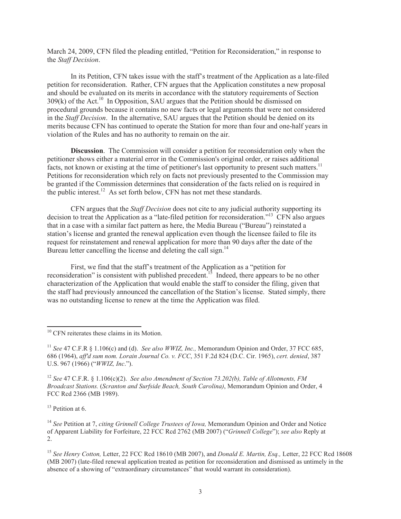March 24, 2009, CFN filed the pleading entitled, "Petition for Reconsideration," in response to the *Staff Decision*.

In its Petition, CFN takes issue with the staff's treatment of the Application as a late-filed petition for reconsideration. Rather, CFN argues that the Application constitutes a new proposal and should be evaluated on its merits in accordance with the statutory requirements of Section  $309(k)$  of the Act.<sup>10</sup> In Opposition, SAU argues that the Petition should be dismissed on procedural grounds because it contains no new facts or legal arguments that were not considered in the *Staff Decision*. In the alternative, SAU argues that the Petition should be denied on its merits because CFN has continued to operate the Station for more than four and one-half years in violation of the Rules and has no authority to remain on the air.

**Discussion**. The Commission will consider a petition for reconsideration only when the petitioner shows either a material error in the Commission's original order, or raises additional facts, not known or existing at the time of petitioner's last opportunity to present such matters.<sup>11</sup> Petitions for reconsideration which rely on facts not previously presented to the Commission may be granted if the Commission determines that consideration of the facts relied on is required in the public interest.<sup>12</sup> As set forth below, CFN has not met these standards.

CFN argues that the *Staff Decision* does not cite to any judicial authority supporting its decision to treat the Application as a "late-filed petition for reconsideration."<sup>13</sup> CFN also argues that in a case with a similar fact pattern as here, the Media Bureau ("Bureau") reinstated a station's license and granted the renewal application even though the licensee failed to file its request for reinstatement and renewal application for more than 90 days after the date of the Bureau letter cancelling the license and deleting the call sign.<sup>14</sup>

First, we find that the staff's treatment of the Application as a "petition for reconsideration" is consistent with published precedent.<sup>15</sup> Indeed, there appears to be no other characterization of the Application that would enable the staff to consider the filing, given that the staff had previously announced the cancellation of the Station's license. Stated simply, there was no outstanding license to renew at the time the Application was filed.

<sup>12</sup> *See* 47 C.F.R. § 1.106(c)(2). *See also Amendment of Section 73.202(b), Table of Allotments, FM Broadcast Stations.* (*Scranton and Surfside Beach, South Carolina)*, Memorandum Opinion and Order, 4 FCC Rcd 2366 (MB 1989).

 $13$  Petition at 6.

<sup>&</sup>lt;sup>10</sup> CFN reiterates these claims in its Motion.

<sup>11</sup> *See* 47 C.F.R § 1.106(c) and (d). *See also WWIZ, Inc.,* Memorandum Opinion and Order, 37 FCC 685, 686 (1964), *aff'd sum nom. Lorain Journal Co. v. FCC*, 351 F.2d 824 (D.C. Cir. 1965), *cert. denied*, 387 U.S. 967 (1966) ("*WWIZ, Inc*.").

<sup>14</sup> *See* Petition at 7, *citing Grinnell College Trustees of Iowa,* Memorandum Opinion and Order and Notice of Apparent Liability for Forfeiture, 22 FCC Rcd 2762 (MB 2007) ("*Grinnell College*"); *see also* Reply at 2.

<sup>15</sup> *See Henry Cotton,* Letter, 22 FCC Rcd 18610 (MB 2007), and *Donald E. Martin, Esq.,* Letter, 22 FCC Rcd 18608 (MB 2007) (late-filed renewal application treated as petition for reconsideration and dismissed as untimely in the absence of a showing of "extraordinary circumstances" that would warrant its consideration).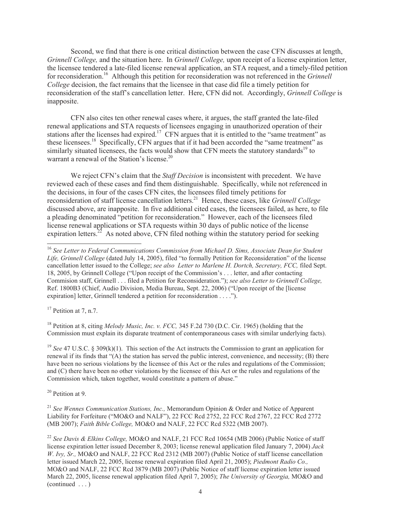Second, we find that there is one critical distinction between the case CFN discusses at length, *Grinnell College,* and the situation here. In *Grinnell College,* upon receipt of a license expiration letter, the licensee tendered a late-filed license renewal application, an STA request, and a timely-filed petition for reconsideration.<sup>16</sup> Although this petition for reconsideration was not referenced in the *Grinnell College* decision, the fact remains that the licensee in that case did file a timely petition for reconsideration of the staff's cancellation letter. Here, CFN did not. Accordingly, *Grinnell College* is inapposite.

CFN also cites ten other renewal cases where, it argues, the staff granted the late-filed renewal applications and STA requests of licensees engaging in unauthorized operation of their stations after the licenses had expired.<sup>17</sup> CFN argues that it is entitled to the "same treatment" as these licensees.<sup>18</sup> Specifically, CFN argues that if it had been accorded the "same treatment" as similarly situated licensees, the facts would show that CFN meets the statutory standards<sup>19</sup> to warrant a renewal of the Station's license.<sup>20</sup>

We reject CFN's claim that the *Staff Decision* is inconsistent with precedent. We have reviewed each of these cases and find them distinguishable. Specifically, while not referenced in the decisions, in four of the cases CFN cites, the licensees filed timely petitions for reconsideration of staff license cancellation letters.<sup>21</sup> Hence, these cases, like *Grinnell College* discussed above, are inapposite. In five additional cited cases, the licensees failed, as here, to file a pleading denominated "petition for reconsideration." However, each of the licensees filed license renewal applications or STA requests within 30 days of public notice of the license expiration letters.<sup>22</sup> As noted above, CFN filed nothing within the statutory period for seeking

 $17$  Petition at 7, n.7.

<sup>18</sup> Petition at 8, citing *Melody Music, Inc. v. FCC,* 345 F.2d 730 (D.C. Cir. 1965) (holding that the Commission must explain its disparate treatment of contemporaneous cases with similar underlying facts).

<sup>19</sup> See 47 U.S.C. § 309(k)(1). This section of the Act instructs the Commission to grant an application for renewal if its finds that "(A) the station has served the public interest, convenience, and necessity; (B) there have been no serious violations by the licensee of this Act or the rules and regulations of the Commission; and (C) there have been no other violations by the licensee of this Act or the rules and regulations of the Commission which, taken together, would constitute a pattern of abuse."

<sup>20</sup> Petition at 9.

<sup>21</sup> *See Wennes Communication Stations, Inc.,* Memorandum Opinion & Order and Notice of Apparent Liability for Forfeiture ("MO&O and NALF"), 22 FCC Rcd 2752, 22 FCC Rcd 2767, 22 FCC Rcd 2772 (MB 2007); *Faith Bible College,* MO&O and NALF, 22 FCC Rcd 5322 (MB 2007).

<sup>22</sup> *See Davis & Elkins College,* MO&O and NALF, 21 FCC Rcd 10654 (MB 2006) (Public Notice of staff license expiration letter issued December 8, 2003; license renewal application filed January 7, 2004) *Jack W. Ivy, Sr.,* MO&O and NALF, 22 FCC Rcd 2312 (MB 2007) (Public Notice of staff license cancellation letter issued March 22, 2005, license renewal expiration filed April 21, 2005); *Piedmont Radio Co.,*  MO&O and NALF, 22 FCC Rcd 3879 (MB 2007) (Public Notice of staff license expiration letter issued March 22, 2005, license renewal application filed April 7, 2005); *The University of Georgia,* MO&O and (continued . . . )

<sup>16</sup> *See Letter to Federal Communications Commission from Michael D. Sims, Associate Dean for Student Life, Grinnell College* (dated July 14, 2005), filed "to formally Petition for Reconsideration" of the license cancellation letter issued to the College; *see also Letter to Marlene H. Dortch, Secretary, FCC,* filed Sept. 18, 2005, by Grinnell College ("Upon receipt of the Commission's . . . letter, and after contacting Commision staff, Grinnell . . . filed a Petition for Reconsideration."); *see also Letter to Grinnell College,*  Ref. 1800B3 (Chief, Audio Division, Media Bureau, Sept. 22, 2006) ("Upon receipt of the [license expiration] letter, Grinnell tendered a petition for reconsideration . . . .").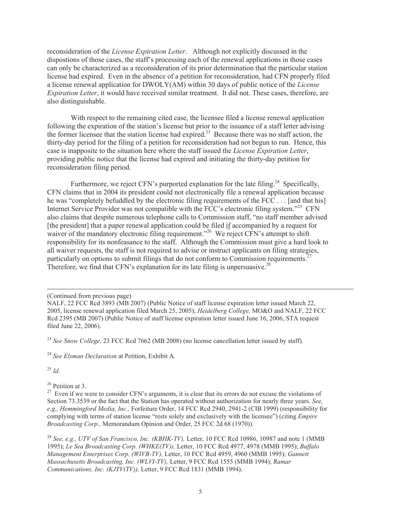reconsideration of the *License Expiration Letter*. Although not explicitly discussed in the dispostions of those cases, the staff's processing each of the renewal applications in those cases can only be characterized as a reconsideration of its prior determination that the particular station license had expired. Even in the absence of a petition for reconsideration, had CFN properly filed a license renewal application for DWOLY(AM) within 30 days of public notice of the *License Expiration Letter*, it would have received similar treatment. It did not. These cases, therefore, are also distinguishable.

With respect to the remaining cited case, the licensee filed a license renewal application following the expiration of the station's license but prior to the issuance of a staff letter advising the former licensee that the station license had expired.<sup>23</sup> Because there was no staff action, the thirty-day period for the filing of a petition for reconsideration had not begun to run. Hence, this case is inapposite to the situation here where the staff issued the *License Expiration Letter*, providing public notice that the license had expired and initiating the thirty-day petition for reconsideration filing period.

Furthermore, we reject CFN's purported explanation for the late filing.<sup>24</sup> Specifically, CFN claims that in 2004 its president could not electronically file a renewal application because he was "completely befuddled by the electronic filing requirements of the FCC . . . [and that his] Internet Service Provider was not compatible with the FCC's electronic filing system."<sup>25</sup> CFN also claims that despite numerous telephone calls to Commission staff, "no staff member advised [the president] that a paper renewal application could be filed if accompanied by a request for waiver of the mandatory electronic filing requirement.<sup>"26</sup> We reject CFN's attempt to shift responsibility for its nonfeasance to the staff. Although the Commission must give a hard look to all waiver requests, the staff is not required to advise or instruct applicants on filing strategies, particularly on options to submit filings that do not conform to Commission requirements.<sup>27</sup> Therefore, we find that CFN's explanation for its late filing is unpersuasive.<sup>28</sup>

(Continued from previous page)

<sup>23</sup> *See Snow College,* 23 FCC Rcd 7662 (MB 2008) (no license cancellation letter issued by staff).

<sup>24</sup> *See Elsman Declaration* at Petition, Exhibit A*.* 

<sup>25</sup> *Id.*

<sup>26</sup> Petition at 3.

NALF, 22 FCC Rcd 3893 (MB 2007) (Public Notice of staff license expiration letter issued March 22, 2005, license renewal application filed March 25, 2005); *Heidelberg College,* MO&O and NALF, 22 FCC Rcd 2395 (MB 2007) (Public Notice of staff license expiration letter issued June 16, 2006, STA request filed June 22, 2006).

 $27$  Even if we were to consider CFN's arguments, it is clear that its errors do not excuse the violations of Section 73.3539 or the fact that the Station has operated without authorization for nearly three years. *See, e.g., Hemmingford Media, Inc.,* Forfeiture Order, 14 FCC Rcd 2940, 2941-2 (CIB 1999) (responsibility for complying with terms of station license "rests solely and exclusively with the licensee") (citing *Empire Broadcasting Corp.,* Memorandum Opinion and Order, 25 FCC 2d 68 (1970)).

<sup>28</sup> *See, e.g., UTV of San Francisco, Inc. (KBHK-TV),* Letter, 10 FCC Rcd 10986, 10987 and note 1 (MMB 1995); *Le Sea Broadcasting Corp. (WHKE(TV)),* Letter, 10 FCC Rcd 4977, 4978 (MMB 1995); *Buffalo Management Enterprises Corp. (WIVB-TV),* Letter, 10 FCC Rcd 4959, 4960 (MMB 1995); *Gannett Massachusetts Broadcasting, Inc. (WLVI-TV),* Letter, 9 FCC Rcd 1555 (MMB 1994); *Ramar Communications, Inc. (KJTV(TV)),* Letter, 9 FCC Rcd 1831 (MMB 1994).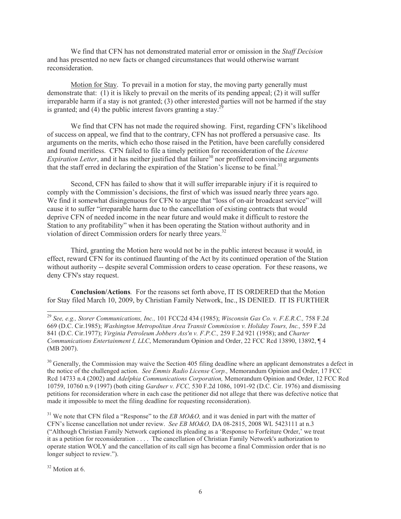We find that CFN has not demonstrated material error or omission in the *Staff Decision* and has presented no new facts or changed circumstances that would otherwise warrant reconsideration.

Motion for Stay. To prevail in a motion for stay, the moving party generally must demonstrate that: (1) it is likely to prevail on the merits of its pending appeal; (2) it will suffer irreparable harm if a stay is not granted; (3) other interested parties will not be harmed if the stay is granted; and  $(4)$  the public interest favors granting a stay.<sup>2</sup>

We find that CFN has not made the required showing. First, regarding CFN's likelihood of success on appeal, we find that to the contrary, CFN has not proffered a persuasive case. Its arguments on the merits, which echo those raised in the Petition, have been carefully considered and found meritless. CFN failed to file a timely petition for reconsideration of the *License Expiration Letter*, and it has neither justified that failure<sup>30</sup> nor proffered convincing arguments that the staff erred in declaring the expiration of the Station's license to be final. $31$ 

Second, CFN has failed to show that it will suffer irreparable injury if it is required to comply with the Commission's decisions, the first of which was issued nearly three years ago. We find it somewhat disingenuous for CFN to argue that "loss of on-air broadcast service" will cause it to suffer "irreparable harm due to the cancellation of existing contracts that would deprive CFN of needed income in the near future and would make it difficult to restore the Station to any profitability" when it has been operating the Station without authority and in violation of direct Commission orders for nearly three years.<sup>32</sup>

Third, granting the Motion here would not be in the public interest because it would, in effect, reward CFN for its continued flaunting of the Act by its continued operation of the Station without authority -- despite several Commission orders to cease operation. For these reasons, we deny CFN's stay request.

**Conclusion/Actions***.* For the reasons set forth above, IT IS ORDERED that the Motion for Stay filed March 10, 2009, by Christian Family Network, Inc., IS DENIED. IT IS FURTHER

<sup>31</sup> We note that CFN filed a "Response" to the *EB MO&O*, and it was denied in part with the matter of CFN's license cancellation not under review. *See EB MO&O,* DA 08-2815, 2008 WL 5423111 at n.3 ("Although Christian Family Network captioned its pleading as a 'Response to Forfeiture Order,' we treat it as a petition for reconsideration . . . . The cancellation of Christian Family Network's authorization to operate station WOLY and the cancellation of its call sign has become a final Commission order that is no longer subject to review.").

<sup>32</sup> Motion at 6.

<sup>29</sup> *See, e.g., Storer Communications, Inc.,* 101 FCC2d 434 (1985); *Wisconsin Gas Co. v. F.E.R.C.,* 758 F.2d 669 (D.C. Cir.1985); *Washington Metropolitan Area Transit Commission v. Holiday Tours, Inc.,* 559 F.2d 841 (D.C. Cir.1977); *Virginia Petroleum Jobbers Ass'n v. F.P.C.,* 259 F.2d 921 (1958); and *Charter Communications Entertainment I, LLC*, Memorandum Opinion and Order, 22 FCC Rcd 13890, 13892, ¶ 4 (MB 2007).

 $30$  Generally, the Commission may waive the Section 405 filing deadline where an applicant demonstrates a defect in the notice of the challenged action. *See Emmis Radio License Corp.,* Memorandum Opinion and Order, 17 FCC Rcd 14733 n.4 (2002) and *Adelphia Communications Corporation,* Memorandum Opinion and Order, 12 FCC Rcd 10759, 10760 n.9 (1997) (both citing *Gardner v. FCC,* 530 F.2d 1086, 1091-92 (D.C. Cir. 1976) and dismissing petitions for reconsideration where in each case the petitioner did not allege that there was defective notice that made it impossible to meet the filing deadline for requesting reconsideration).